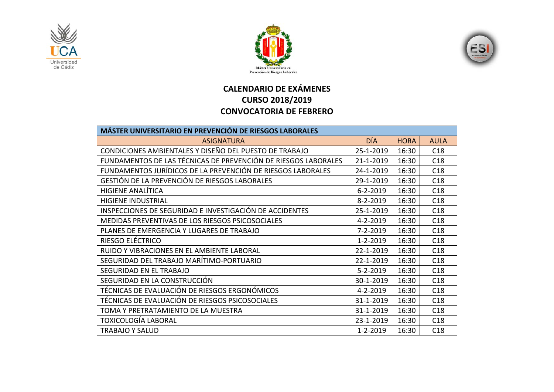





## **CALENDARIO DE EXÁMENES CURSO 2018/2019 CONVOCATORIA DE FEBRERO**

| <b>MÁSTER UNIVERSITARIO EN PREVENCIÓN DE RIESGOS LABORALES</b> |                |             |             |  |  |
|----------------------------------------------------------------|----------------|-------------|-------------|--|--|
| <b>ASIGNATURA</b>                                              | <b>DÍA</b>     | <b>HORA</b> | <b>AULA</b> |  |  |
| CONDICIONES AMBIENTALES Y DISEÑO DEL PUESTO DE TRABAJO         | 25-1-2019      | 16:30       | C18         |  |  |
| FUNDAMENTOS DE LAS TÉCNICAS DE PREVENCIÓN DE RIESGOS LABORALES | 21-1-2019      | 16:30       | C18         |  |  |
| FUNDAMENTOS JURÍDICOS DE LA PREVENCIÓN DE RIESGOS LABORALES    | 24-1-2019      | 16:30       | C18         |  |  |
| GESTIÓN DE LA PREVENCIÓN DE RIESGOS LABORALES                  | 29-1-2019      | 16:30       | C18         |  |  |
| <b>HIGIENE ANALÍTICA</b>                                       | $6 - 2 - 2019$ | 16:30       | C18         |  |  |
| <b>HIGIENE INDUSTRIAL</b>                                      | $8 - 2 - 2019$ | 16:30       | C18         |  |  |
| INSPECCIONES DE SEGURIDAD E INVESTIGACIÓN DE ACCIDENTES        | 25-1-2019      | 16:30       | C18         |  |  |
| MEDIDAS PREVENTIVAS DE LOS RIESGOS PSICOSOCIALES               | 4-2-2019       | 16:30       | C18         |  |  |
| PLANES DE EMERGENCIA Y LUGARES DE TRABAJO                      | $7 - 2 - 2019$ | 16:30       | C18         |  |  |
| RIESGO ELÉCTRICO                                               | $1 - 2 - 2019$ | 16:30       | C18         |  |  |
| RUIDO Y VIBRACIONES EN EL AMBIENTE LABORAL                     | 22-1-2019      | 16:30       | C18         |  |  |
| SEGURIDAD DEL TRABAJO MARÍTIMO-PORTUARIO                       | 22-1-2019      | 16:30       | C18         |  |  |
| SEGURIDAD EN EL TRABAJO                                        | $5 - 2 - 2019$ | 16:30       | C18         |  |  |
| SEGURIDAD EN LA CONSTRUCCIÓN                                   | 30-1-2019      | 16:30       | C18         |  |  |
| TÉCNICAS DE EVALUACIÓN DE RIESGOS ERGONÓMICOS                  | $4 - 2 - 2019$ | 16:30       | C18         |  |  |
| TÉCNICAS DE EVALUACIÓN DE RIESGOS PSICOSOCIALES                | 31-1-2019      | 16:30       | C18         |  |  |
| TOMA Y PRETRATAMIENTO DE LA MUESTRA                            | 31-1-2019      | 16:30       | C18         |  |  |
| TOXICOLOGÍA LABORAL                                            | 23-1-2019      | 16:30       | C18         |  |  |
| <b>TRABAJO Y SALUD</b>                                         | $1 - 2 - 2019$ | 16:30       | C18         |  |  |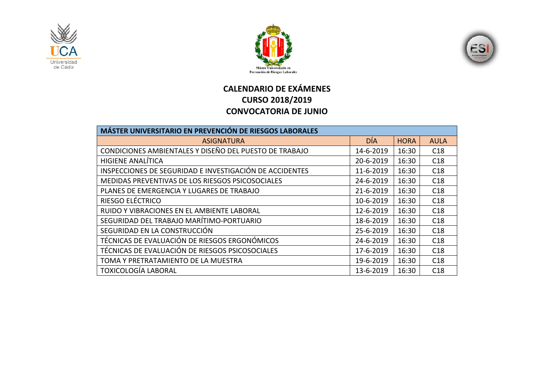





## **CALENDARIO DE EXÁMENES CURSO 2018/2019 CONVOCATORIA DE JUNIO**

| <b>MÁSTER UNIVERSITARIO EN PREVENCIÓN DE RIESGOS LABORALES</b> |            |             |             |
|----------------------------------------------------------------|------------|-------------|-------------|
| <b>ASIGNATURA</b>                                              | <b>DÍA</b> | <b>HORA</b> | <b>AULA</b> |
| CONDICIONES AMBIENTALES Y DISEÑO DEL PUESTO DE TRABAJO         | 14-6-2019  | 16:30       | C18         |
| <b>HIGIENE ANALÍTICA</b>                                       | 20-6-2019  | 16:30       | C18         |
| INSPECCIONES DE SEGURIDAD E INVESTIGACIÓN DE ACCIDENTES        | 11-6-2019  | 16:30       | C18         |
| MEDIDAS PREVENTIVAS DE LOS RIESGOS PSICOSOCIALES               | 24-6-2019  | 16:30       | C18         |
| PLANES DE EMERGENCIA Y LUGARES DE TRABAJO                      | 21-6-2019  | 16:30       | C18         |
| RIESGO ELÉCTRICO                                               | 10-6-2019  | 16:30       | C18         |
| RUIDO Y VIBRACIONES EN EL AMBIENTE LABORAL                     | 12-6-2019  | 16:30       | C18         |
| SEGURIDAD DEL TRABAJO MARÍTIMO-PORTUARIO                       | 18-6-2019  | 16:30       | C18         |
| SEGURIDAD EN LA CONSTRUCCIÓN                                   | 25-6-2019  | 16:30       | C18         |
| TÉCNICAS DE EVALUACIÓN DE RIESGOS ERGONÓMICOS                  | 24-6-2019  | 16:30       | C18         |
| TÉCNICAS DE EVALUACIÓN DE RIESGOS PSICOSOCIALES                | 17-6-2019  | 16:30       | C18         |
| TOMA Y PRETRATAMIENTO DE LA MUESTRA                            | 19-6-2019  | 16:30       | C18         |
| <b>TOXICOLOGÍA LABORAL</b>                                     | 13-6-2019  | 16:30       | C18         |